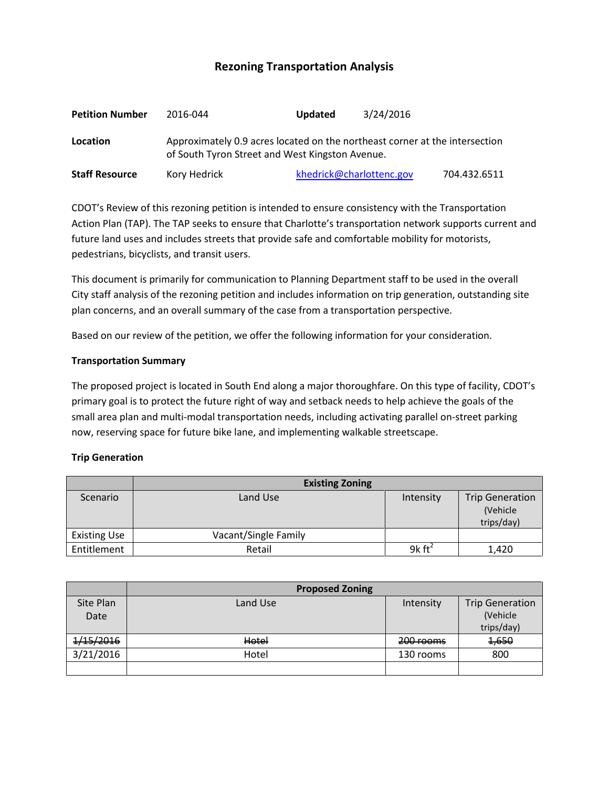# **Rezoning Transportation Analysis**

| <b>Petition Number</b> | 2016-044                                                                                                                       | <b>Updated</b>           | 3/24/2016 |              |  |  |
|------------------------|--------------------------------------------------------------------------------------------------------------------------------|--------------------------|-----------|--------------|--|--|
| Location               | Approximately 0.9 acres located on the northeast corner at the intersection<br>of South Tyron Street and West Kingston Avenue. |                          |           |              |  |  |
| <b>Staff Resource</b>  | Kory Hedrick                                                                                                                   | khedrick@charlottenc.gov |           | 704.432.6511 |  |  |

CDOT's Review of this rezoning petition is intended to ensure consistency with the Transportation Action Plan (TAP). The TAP seeks to ensure that Charlotte's transportation network supports current and future land uses and includes streets that provide safe and comfortable mobility for motorists, pedestrians, bicyclists, and transit users.

This document is primarily for communication to Planning Department staff to be used in the overall City staff analysis of the rezoning petition and includes information on trip generation, outstanding site plan concerns, and an overall summary of the case from a transportation perspective.

Based on our review of the petition, we offer the following information for your consideration.

#### **Transportation Summary**

The proposed project is located in South End along a major thoroughfare. On this type of facility, CDOT's primary goal is to protect the future right of way and setback needs to help achieve the goals of the small area plan and multi-modal transportation needs, including activating parallel on-street parking now, reserving space for future bike lane, and implementing walkable streetscape.

# **Trip Generation**

|                     | <b>Existing Zoning</b> |                    |                                                  |  |
|---------------------|------------------------|--------------------|--------------------------------------------------|--|
| Scenario            | Land Use               | Intensity          | <b>Trip Generation</b><br>(Vehicle<br>trips/day) |  |
| <b>Existing Use</b> | Vacant/Single Family   |                    |                                                  |  |
| Entitlement         | Retail                 | 9 $k \text{ ft}^2$ | 1,420                                            |  |

|           | <b>Proposed Zoning</b> |           |                        |  |
|-----------|------------------------|-----------|------------------------|--|
| Site Plan | Land Use               | Intensity | <b>Trip Generation</b> |  |
| Date      |                        |           | (Vehicle               |  |
|           |                        |           | trips/day)             |  |
| 1/15/2016 | Hotel                  | 200 rooms | 1,650                  |  |
| 3/21/2016 | Hotel                  | 130 rooms | 800                    |  |
|           |                        |           |                        |  |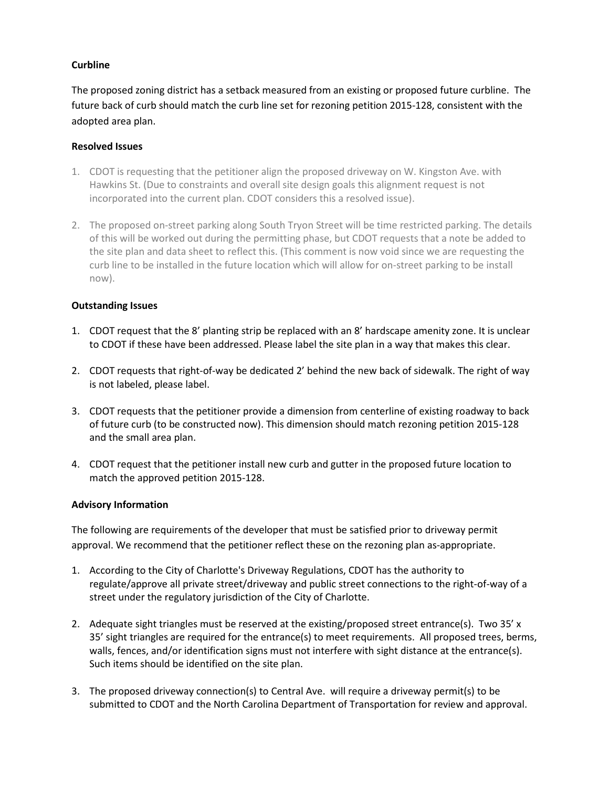# **Curbline**

The proposed zoning district has a setback measured from an existing or proposed future curbline. The future back of curb should match the curb line set for rezoning petition 2015-128, consistent with the adopted area plan.

### **Resolved Issues**

- 1. CDOT is requesting that the petitioner align the proposed driveway on W. Kingston Ave. with Hawkins St. (Due to constraints and overall site design goals this alignment request is not incorporated into the current plan. CDOT considers this a resolved issue).
- 2. The proposed on-street parking along South Tryon Street will be time restricted parking. The details of this will be worked out during the permitting phase, but CDOT requests that a note be added to the site plan and data sheet to reflect this. (This comment is now void since we are requesting the curb line to be installed in the future location which will allow for on-street parking to be install now).

# **Outstanding Issues**

- 1. CDOT request that the 8' planting strip be replaced with an 8' hardscape amenity zone. It is unclear to CDOT if these have been addressed. Please label the site plan in a way that makes this clear.
- 2. CDOT requests that right-of-way be dedicated 2' behind the new back of sidewalk. The right of way is not labeled, please label.
- 3. CDOT requests that the petitioner provide a dimension from centerline of existing roadway to back of future curb (to be constructed now). This dimension should match rezoning petition 2015-128 and the small area plan.
- 4. CDOT request that the petitioner install new curb and gutter in the proposed future location to match the approved petition 2015-128.

# **Advisory Information**

The following are requirements of the developer that must be satisfied prior to driveway permit approval. We recommend that the petitioner reflect these on the rezoning plan as-appropriate.

- 1. According to the City of Charlotte's Driveway Regulations, CDOT has the authority to regulate/approve all private street/driveway and public street connections to the right-of-way of a street under the regulatory jurisdiction of the City of Charlotte.
- 2. Adequate sight triangles must be reserved at the existing/proposed street entrance(s). Two 35' x 35' sight triangles are required for the entrance(s) to meet requirements. All proposed trees, berms, walls, fences, and/or identification signs must not interfere with sight distance at the entrance(s). Such items should be identified on the site plan.
- 3. The proposed driveway connection(s) to Central Ave. will require a driveway permit(s) to be submitted to CDOT and the North Carolina Department of Transportation for review and approval.